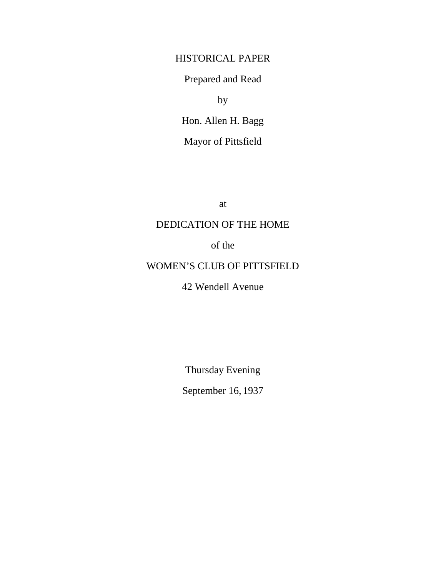## HISTORICAL PAPER

Prepared and Read

by

Hon. Allen H. Bagg Mayor of Pittsfield

at

## DEDICATION OF THE HOME

of the

## WOMEN'S CLUB OF PITTSFIELD

## 42 Wendell Avenue

Thursday Evening

September 16, 1937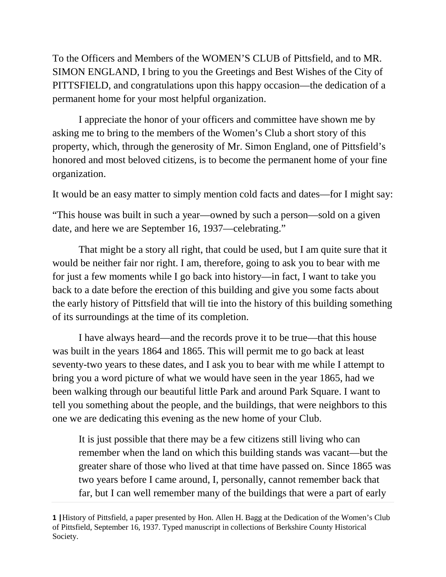To the Officers and Members of the WOMEN'S CLUB of Pittsfield, and to MR. SIMON ENGLAND, I bring to you the Greetings and Best Wishes of the City of PITTSFIELD, and congratulations upon this happy occasion—the dedication of a permanent home for your most helpful organization.

I appreciate the honor of your officers and committee have shown me by asking me to bring to the members of the Women's Club a short story of this property, which, through the generosity of Mr. Simon England, one of Pittsfield's honored and most beloved citizens, is to become the permanent home of your fine organization.

It would be an easy matter to simply mention cold facts and dates—for I might say:

"This house was built in such a year—owned by such a person—sold on a given date, and here we are September 16, 1937—celebrating."

That might be a story all right, that could be used, but I am quite sure that it would be neither fair nor right. I am, therefore, going to ask you to bear with me for just a few moments while I go back into history—in fact, I want to take you back to a date before the erection of this building and give you some facts about the early history of Pittsfield that will tie into the history of this building something of its surroundings at the time of its completion.

I have always heard—and the records prove it to be true—that this house was built in the years 1864 and 1865. This will permit me to go back at least seventy-two years to these dates, and I ask you to bear with me while I attempt to bring you a word picture of what we would have seen in the year 1865, had we been walking through our beautiful little Park and around Park Square. I want to tell you something about the people, and the buildings, that were neighbors to this one we are dedicating this evening as the new home of your Club.

It is just possible that there may be a few citizens still living who can remember when the land on which this building stands was vacant—but the greater share of those who lived at that time have passed on. Since 1865 was two years before I came around, I, personally, cannot remember back that far, but I can well remember many of the buildings that were a part of early

**<sup>1</sup> |**History of Pittsfield, a paper presented by Hon. Allen H. Bagg at the Dedication of the Women's Club of Pittsfield, September 16, 1937. Typed manuscript in collections of Berkshire County Historical Society.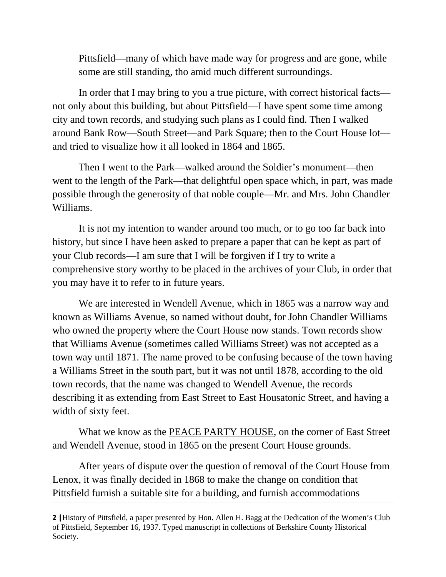Pittsfield—many of which have made way for progress and are gone, while some are still standing, tho amid much different surroundings.

In order that I may bring to you a true picture, with correct historical facts not only about this building, but about Pittsfield—I have spent some time among city and town records, and studying such plans as I could find. Then I walked around Bank Row—South Street—and Park Square; then to the Court House lot and tried to visualize how it all looked in 1864 and 1865.

Then I went to the Park—walked around the Soldier's monument—then went to the length of the Park—that delightful open space which, in part, was made possible through the generosity of that noble couple—Mr. and Mrs. John Chandler Williams.

It is not my intention to wander around too much, or to go too far back into history, but since I have been asked to prepare a paper that can be kept as part of your Club records—I am sure that I will be forgiven if I try to write a comprehensive story worthy to be placed in the archives of your Club, in order that you may have it to refer to in future years.

We are interested in Wendell Avenue, which in 1865 was a narrow way and known as Williams Avenue, so named without doubt, for John Chandler Williams who owned the property where the Court House now stands. Town records show that Williams Avenue (sometimes called Williams Street) was not accepted as a town way until 1871. The name proved to be confusing because of the town having a Williams Street in the south part, but it was not until 1878, according to the old town records, that the name was changed to Wendell Avenue, the records describing it as extending from East Street to East Housatonic Street, and having a width of sixty feet.

What we know as the PEACE PARTY HOUSE, on the corner of East Street and Wendell Avenue, stood in 1865 on the present Court House grounds.

After years of dispute over the question of removal of the Court House from Lenox, it was finally decided in 1868 to make the change on condition that Pittsfield furnish a suitable site for a building, and furnish accommodations

**<sup>2</sup> |**History of Pittsfield, a paper presented by Hon. Allen H. Bagg at the Dedication of the Women's Club of Pittsfield, September 16, 1937. Typed manuscript in collections of Berkshire County Historical Society.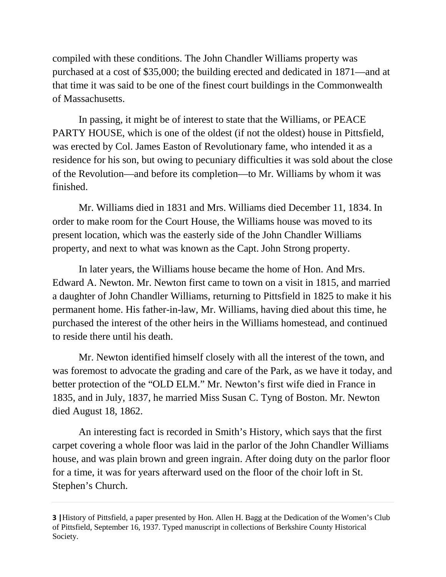compiled with these conditions. The John Chandler Williams property was purchased at a cost of \$35,000; the building erected and dedicated in 1871—and at that time it was said to be one of the finest court buildings in the Commonwealth of Massachusetts.

In passing, it might be of interest to state that the Williams, or PEACE PARTY HOUSE, which is one of the oldest (if not the oldest) house in Pittsfield, was erected by Col. James Easton of Revolutionary fame, who intended it as a residence for his son, but owing to pecuniary difficulties it was sold about the close of the Revolution—and before its completion—to Mr. Williams by whom it was finished.

Mr. Williams died in 1831 and Mrs. Williams died December 11, 1834. In order to make room for the Court House, the Williams house was moved to its present location, which was the easterly side of the John Chandler Williams property, and next to what was known as the Capt. John Strong property.

In later years, the Williams house became the home of Hon. And Mrs. Edward A. Newton. Mr. Newton first came to town on a visit in 1815, and married a daughter of John Chandler Williams, returning to Pittsfield in 1825 to make it his permanent home. His father-in-law, Mr. Williams, having died about this time, he purchased the interest of the other heirs in the Williams homestead, and continued to reside there until his death.

Mr. Newton identified himself closely with all the interest of the town, and was foremost to advocate the grading and care of the Park, as we have it today, and better protection of the "OLD ELM." Mr. Newton's first wife died in France in 1835, and in July, 1837, he married Miss Susan C. Tyng of Boston. Mr. Newton died August 18, 1862.

An interesting fact is recorded in Smith's History, which says that the first carpet covering a whole floor was laid in the parlor of the John Chandler Williams house, and was plain brown and green ingrain. After doing duty on the parlor floor for a time, it was for years afterward used on the floor of the choir loft in St. Stephen's Church.

**<sup>3</sup> |**History of Pittsfield, a paper presented by Hon. Allen H. Bagg at the Dedication of the Women's Club of Pittsfield, September 16, 1937. Typed manuscript in collections of Berkshire County Historical Society.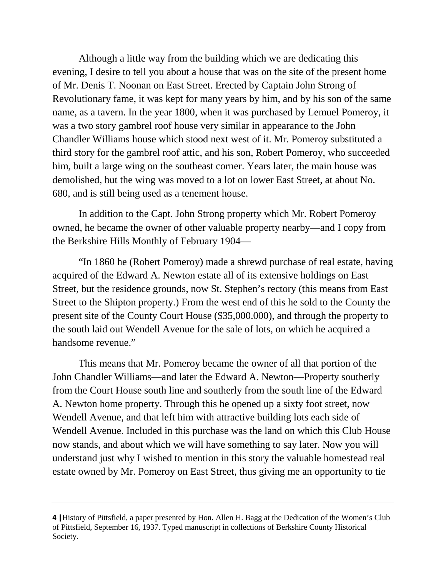Although a little way from the building which we are dedicating this evening, I desire to tell you about a house that was on the site of the present home of Mr. Denis T. Noonan on East Street. Erected by Captain John Strong of Revolutionary fame, it was kept for many years by him, and by his son of the same name, as a tavern. In the year 1800, when it was purchased by Lemuel Pomeroy, it was a two story gambrel roof house very similar in appearance to the John Chandler Williams house which stood next west of it. Mr. Pomeroy substituted a third story for the gambrel roof attic, and his son, Robert Pomeroy, who succeeded him, built a large wing on the southeast corner. Years later, the main house was demolished, but the wing was moved to a lot on lower East Street, at about No. 680, and is still being used as a tenement house.

In addition to the Capt. John Strong property which Mr. Robert Pomeroy owned, he became the owner of other valuable property nearby—and I copy from the Berkshire Hills Monthly of February 1904—

"In 1860 he (Robert Pomeroy) made a shrewd purchase of real estate, having acquired of the Edward A. Newton estate all of its extensive holdings on East Street, but the residence grounds, now St. Stephen's rectory (this means from East Street to the Shipton property.) From the west end of this he sold to the County the present site of the County Court House (\$35,000.000), and through the property to the south laid out Wendell Avenue for the sale of lots, on which he acquired a handsome revenue."

This means that Mr. Pomeroy became the owner of all that portion of the John Chandler Williams—and later the Edward A. Newton—Property southerly from the Court House south line and southerly from the south line of the Edward A. Newton home property. Through this he opened up a sixty foot street, now Wendell Avenue, and that left him with attractive building lots each side of Wendell Avenue. Included in this purchase was the land on which this Club House now stands, and about which we will have something to say later. Now you will understand just why I wished to mention in this story the valuable homestead real estate owned by Mr. Pomeroy on East Street, thus giving me an opportunity to tie

**<sup>4</sup> |**History of Pittsfield, a paper presented by Hon. Allen H. Bagg at the Dedication of the Women's Club of Pittsfield, September 16, 1937. Typed manuscript in collections of Berkshire County Historical Society.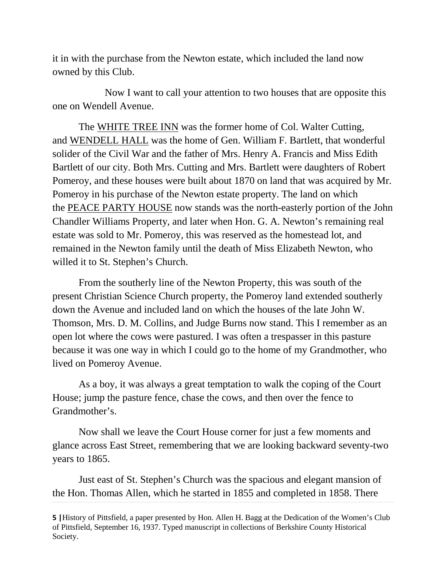it in with the purchase from the Newton estate, which included the land now owned by this Club.

Now I want to call your attention to two houses that are opposite this one on Wendell Avenue.

The WHITE TREE INN was the former home of Col. Walter Cutting, and WENDELL HALL was the home of Gen. William F. Bartlett, that wonderful solider of the Civil War and the father of Mrs. Henry A. Francis and Miss Edith Bartlett of our city. Both Mrs. Cutting and Mrs. Bartlett were daughters of Robert Pomeroy, and these houses were built about 1870 on land that was acquired by Mr. Pomeroy in his purchase of the Newton estate property. The land on which the PEACE PARTY HOUSE now stands was the north-easterly portion of the John Chandler Williams Property, and later when Hon. G. A. Newton's remaining real estate was sold to Mr. Pomeroy, this was reserved as the homestead lot, and remained in the Newton family until the death of Miss Elizabeth Newton, who willed it to St. Stephen's Church.

From the southerly line of the Newton Property, this was south of the present Christian Science Church property, the Pomeroy land extended southerly down the Avenue and included land on which the houses of the late John W. Thomson, Mrs. D. M. Collins, and Judge Burns now stand. This I remember as an open lot where the cows were pastured. I was often a trespasser in this pasture because it was one way in which I could go to the home of my Grandmother, who lived on Pomeroy Avenue.

As a boy, it was always a great temptation to walk the coping of the Court House; jump the pasture fence, chase the cows, and then over the fence to Grandmother's.

Now shall we leave the Court House corner for just a few moments and glance across East Street, remembering that we are looking backward seventy-two years to 1865.

Just east of St. Stephen's Church was the spacious and elegant mansion of the Hon. Thomas Allen, which he started in 1855 and completed in 1858. There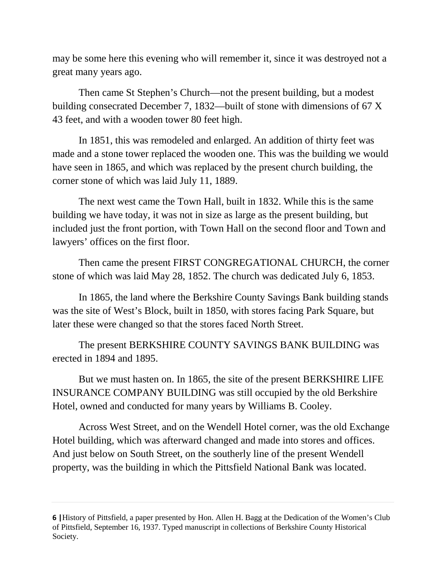may be some here this evening who will remember it, since it was destroyed not a great many years ago.

Then came St Stephen's Church—not the present building, but a modest building consecrated December 7, 1832—built of stone with dimensions of 67 X 43 feet, and with a wooden tower 80 feet high.

In 1851, this was remodeled and enlarged. An addition of thirty feet was made and a stone tower replaced the wooden one. This was the building we would have seen in 1865, and which was replaced by the present church building, the corner stone of which was laid July 11, 1889.

The next west came the Town Hall, built in 1832. While this is the same building we have today, it was not in size as large as the present building, but included just the front portion, with Town Hall on the second floor and Town and lawyers' offices on the first floor.

Then came the present FIRST CONGREGATIONAL CHURCH, the corner stone of which was laid May 28, 1852. The church was dedicated July 6, 1853.

In 1865, the land where the Berkshire County Savings Bank building stands was the site of West's Block, built in 1850, with stores facing Park Square, but later these were changed so that the stores faced North Street.

The present BERKSHIRE COUNTY SAVINGS BANK BUILDING was erected in 1894 and 1895.

But we must hasten on. In 1865, the site of the present BERKSHIRE LIFE INSURANCE COMPANY BUILDING was still occupied by the old Berkshire Hotel, owned and conducted for many years by Williams B. Cooley.

Across West Street, and on the Wendell Hotel corner, was the old Exchange Hotel building, which was afterward changed and made into stores and offices. And just below on South Street, on the southerly line of the present Wendell property, was the building in which the Pittsfield National Bank was located.

**<sup>6</sup> |**History of Pittsfield, a paper presented by Hon. Allen H. Bagg at the Dedication of the Women's Club of Pittsfield, September 16, 1937. Typed manuscript in collections of Berkshire County Historical Society.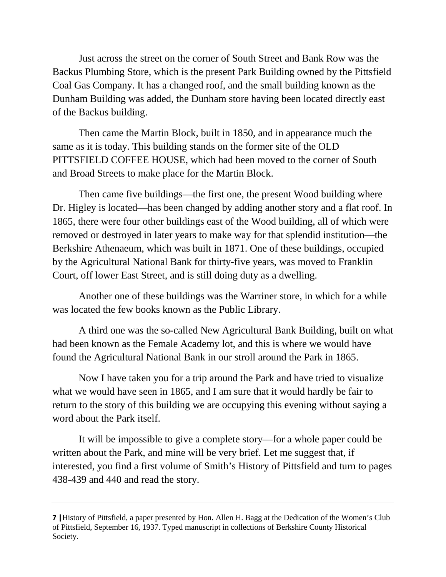Just across the street on the corner of South Street and Bank Row was the Backus Plumbing Store, which is the present Park Building owned by the Pittsfield Coal Gas Company. It has a changed roof, and the small building known as the Dunham Building was added, the Dunham store having been located directly east of the Backus building.

Then came the Martin Block, built in 1850, and in appearance much the same as it is today. This building stands on the former site of the OLD PITTSFIELD COFFEE HOUSE, which had been moved to the corner of South and Broad Streets to make place for the Martin Block.

Then came five buildings—the first one, the present Wood building where Dr. Higley is located—has been changed by adding another story and a flat roof. In 1865, there were four other buildings east of the Wood building, all of which were removed or destroyed in later years to make way for that splendid institution—the Berkshire Athenaeum, which was built in 1871. One of these buildings, occupied by the Agricultural National Bank for thirty-five years, was moved to Franklin Court, off lower East Street, and is still doing duty as a dwelling.

Another one of these buildings was the Warriner store, in which for a while was located the few books known as the Public Library.

A third one was the so-called New Agricultural Bank Building, built on what had been known as the Female Academy lot, and this is where we would have found the Agricultural National Bank in our stroll around the Park in 1865.

Now I have taken you for a trip around the Park and have tried to visualize what we would have seen in 1865, and I am sure that it would hardly be fair to return to the story of this building we are occupying this evening without saying a word about the Park itself.

It will be impossible to give a complete story—for a whole paper could be written about the Park, and mine will be very brief. Let me suggest that, if interested, you find a first volume of Smith's History of Pittsfield and turn to pages 438-439 and 440 and read the story.

**<sup>7</sup> |**History of Pittsfield, a paper presented by Hon. Allen H. Bagg at the Dedication of the Women's Club of Pittsfield, September 16, 1937. Typed manuscript in collections of Berkshire County Historical Society.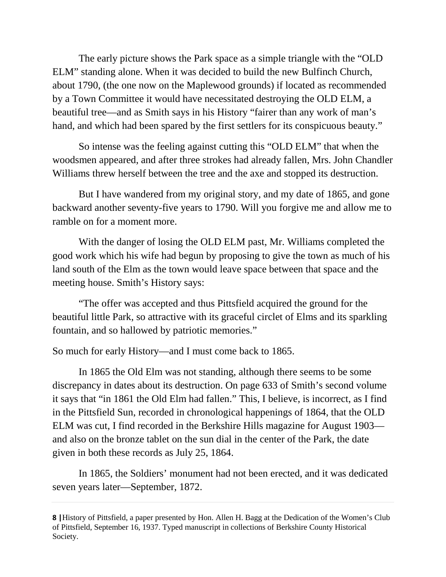The early picture shows the Park space as a simple triangle with the "OLD ELM" standing alone. When it was decided to build the new Bulfinch Church, about 1790, (the one now on the Maplewood grounds) if located as recommended by a Town Committee it would have necessitated destroying the OLD ELM, a beautiful tree—and as Smith says in his History "fairer than any work of man's hand, and which had been spared by the first settlers for its conspicuous beauty."

So intense was the feeling against cutting this "OLD ELM" that when the woodsmen appeared, and after three strokes had already fallen, Mrs. John Chandler Williams threw herself between the tree and the axe and stopped its destruction.

But I have wandered from my original story, and my date of 1865, and gone backward another seventy-five years to 1790. Will you forgive me and allow me to ramble on for a moment more.

With the danger of losing the OLD ELM past, Mr. Williams completed the good work which his wife had begun by proposing to give the town as much of his land south of the Elm as the town would leave space between that space and the meeting house. Smith's History says:

"The offer was accepted and thus Pittsfield acquired the ground for the beautiful little Park, so attractive with its graceful circlet of Elms and its sparkling fountain, and so hallowed by patriotic memories."

So much for early History—and I must come back to 1865.

In 1865 the Old Elm was not standing, although there seems to be some discrepancy in dates about its destruction. On page 633 of Smith's second volume it says that "in 1861 the Old Elm had fallen." This, I believe, is incorrect, as I find in the Pittsfield Sun, recorded in chronological happenings of 1864, that the OLD ELM was cut, I find recorded in the Berkshire Hills magazine for August 1903 and also on the bronze tablet on the sun dial in the center of the Park, the date given in both these records as July 25, 1864.

In 1865, the Soldiers' monument had not been erected, and it was dedicated seven years later—September, 1872.

**<sup>8</sup> |**History of Pittsfield, a paper presented by Hon. Allen H. Bagg at the Dedication of the Women's Club of Pittsfield, September 16, 1937. Typed manuscript in collections of Berkshire County Historical Society.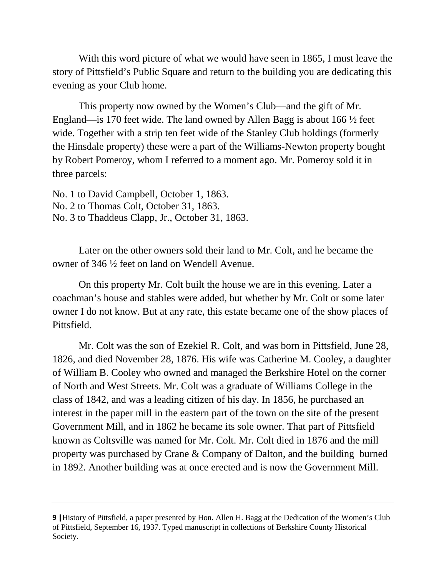With this word picture of what we would have seen in 1865, I must leave the story of Pittsfield's Public Square and return to the building you are dedicating this evening as your Club home.

This property now owned by the Women's Club—and the gift of Mr. England—is 170 feet wide. The land owned by Allen Bagg is about 166 ½ feet wide. Together with a strip ten feet wide of the Stanley Club holdings (formerly the Hinsdale property) these were a part of the Williams-Newton property bought by Robert Pomeroy, whom I referred to a moment ago. Mr. Pomeroy sold it in three parcels:

No. 1 to David Campbell, October 1, 1863. No. 2 to Thomas Colt, October 31, 1863. No. 3 to Thaddeus Clapp, Jr., October 31, 1863.

Later on the other owners sold their land to Mr. Colt, and he became the owner of 346 ½ feet on land on Wendell Avenue.

On this property Mr. Colt built the house we are in this evening. Later a coachman's house and stables were added, but whether by Mr. Colt or some later owner I do not know. But at any rate, this estate became one of the show places of Pittsfield.

Mr. Colt was the son of Ezekiel R. Colt, and was born in Pittsfield, June 28, 1826, and died November 28, 1876. His wife was Catherine M. Cooley, a daughter of William B. Cooley who owned and managed the Berkshire Hotel on the corner of North and West Streets. Mr. Colt was a graduate of Williams College in the class of 1842, and was a leading citizen of his day. In 1856, he purchased an interest in the paper mill in the eastern part of the town on the site of the present Government Mill, and in 1862 he became its sole owner. That part of Pittsfield known as Coltsville was named for Mr. Colt. Mr. Colt died in 1876 and the mill property was purchased by Crane & Company of Dalton, and the building burned in 1892. Another building was at once erected and is now the Government Mill.

**<sup>9</sup> |**History of Pittsfield, a paper presented by Hon. Allen H. Bagg at the Dedication of the Women's Club of Pittsfield, September 16, 1937. Typed manuscript in collections of Berkshire County Historical Society.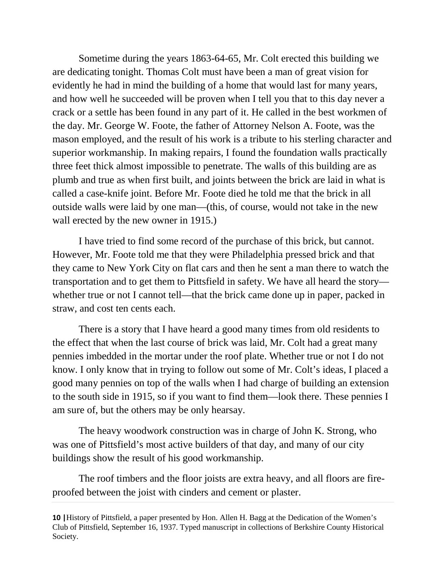Sometime during the years 1863-64-65, Mr. Colt erected this building we are dedicating tonight. Thomas Colt must have been a man of great vision for evidently he had in mind the building of a home that would last for many years, and how well he succeeded will be proven when I tell you that to this day never a crack or a settle has been found in any part of it. He called in the best workmen of the day. Mr. George W. Foote, the father of Attorney Nelson A. Foote, was the mason employed, and the result of his work is a tribute to his sterling character and superior workmanship. In making repairs, I found the foundation walls practically three feet thick almost impossible to penetrate. The walls of this building are as plumb and true as when first built, and joints between the brick are laid in what is called a case-knife joint. Before Mr. Foote died he told me that the brick in all outside walls were laid by one man—(this, of course, would not take in the new wall erected by the new owner in 1915.)

I have tried to find some record of the purchase of this brick, but cannot. However, Mr. Foote told me that they were Philadelphia pressed brick and that they came to New York City on flat cars and then he sent a man there to watch the transportation and to get them to Pittsfield in safety. We have all heard the story whether true or not I cannot tell—that the brick came done up in paper, packed in straw, and cost ten cents each.

There is a story that I have heard a good many times from old residents to the effect that when the last course of brick was laid, Mr. Colt had a great many pennies imbedded in the mortar under the roof plate. Whether true or not I do not know. I only know that in trying to follow out some of Mr. Colt's ideas, I placed a good many pennies on top of the walls when I had charge of building an extension to the south side in 1915, so if you want to find them—look there. These pennies I am sure of, but the others may be only hearsay.

The heavy woodwork construction was in charge of John K. Strong, who was one of Pittsfield's most active builders of that day, and many of our city buildings show the result of his good workmanship.

The roof timbers and the floor joists are extra heavy, and all floors are fireproofed between the joist with cinders and cement or plaster.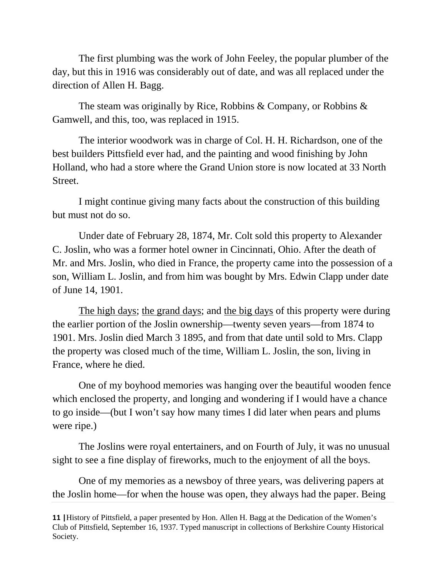The first plumbing was the work of John Feeley, the popular plumber of the day, but this in 1916 was considerably out of date, and was all replaced under the direction of Allen H. Bagg.

The steam was originally by Rice, Robbins & Company, or Robbins & Gamwell, and this, too, was replaced in 1915.

The interior woodwork was in charge of Col. H. H. Richardson, one of the best builders Pittsfield ever had, and the painting and wood finishing by John Holland, who had a store where the Grand Union store is now located at 33 North Street.

I might continue giving many facts about the construction of this building but must not do so.

Under date of February 28, 1874, Mr. Colt sold this property to Alexander C. Joslin, who was a former hotel owner in Cincinnati, Ohio. After the death of Mr. and Mrs. Joslin, who died in France, the property came into the possession of a son, William L. Joslin, and from him was bought by Mrs. Edwin Clapp under date of June 14, 1901.

The high days; the grand days; and the big days of this property were during the earlier portion of the Joslin ownership—twenty seven years—from 1874 to 1901. Mrs. Joslin died March 3 1895, and from that date until sold to Mrs. Clapp the property was closed much of the time, William L. Joslin, the son, living in France, where he died.

One of my boyhood memories was hanging over the beautiful wooden fence which enclosed the property, and longing and wondering if I would have a chance to go inside—(but I won't say how many times I did later when pears and plums were ripe.)

The Joslins were royal entertainers, and on Fourth of July, it was no unusual sight to see a fine display of fireworks, much to the enjoyment of all the boys.

One of my memories as a newsboy of three years, was delivering papers at the Joslin home—for when the house was open, they always had the paper. Being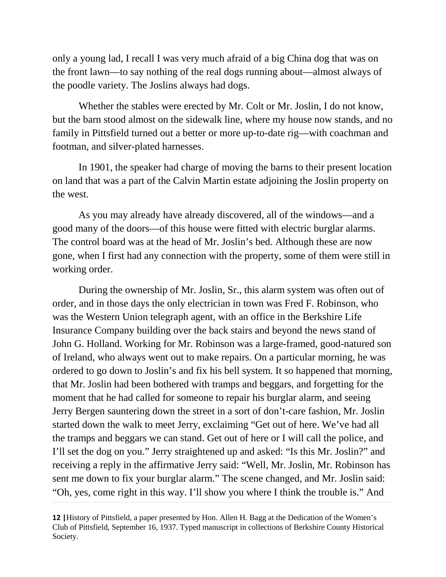only a young lad, I recall I was very much afraid of a big China dog that was on the front lawn—to say nothing of the real dogs running about—almost always of the poodle variety. The Joslins always had dogs.

Whether the stables were erected by Mr. Colt or Mr. Joslin, I do not know, but the barn stood almost on the sidewalk line, where my house now stands, and no family in Pittsfield turned out a better or more up-to-date rig—with coachman and footman, and silver-plated harnesses.

In 1901, the speaker had charge of moving the barns to their present location on land that was a part of the Calvin Martin estate adjoining the Joslin property on the west.

As you may already have already discovered, all of the windows—and a good many of the doors—of this house were fitted with electric burglar alarms. The control board was at the head of Mr. Joslin's bed. Although these are now gone, when I first had any connection with the property, some of them were still in working order.

During the ownership of Mr. Joslin, Sr., this alarm system was often out of order, and in those days the only electrician in town was Fred F. Robinson, who was the Western Union telegraph agent, with an office in the Berkshire Life Insurance Company building over the back stairs and beyond the news stand of John G. Holland. Working for Mr. Robinson was a large-framed, good-natured son of Ireland, who always went out to make repairs. On a particular morning, he was ordered to go down to Joslin's and fix his bell system. It so happened that morning, that Mr. Joslin had been bothered with tramps and beggars, and forgetting for the moment that he had called for someone to repair his burglar alarm, and seeing Jerry Bergen sauntering down the street in a sort of don't-care fashion, Mr. Joslin started down the walk to meet Jerry, exclaiming "Get out of here. We've had all the tramps and beggars we can stand. Get out of here or I will call the police, and I'll set the dog on you." Jerry straightened up and asked: "Is this Mr. Joslin?" and receiving a reply in the affirmative Jerry said: "Well, Mr. Joslin, Mr. Robinson has sent me down to fix your burglar alarm." The scene changed, and Mr. Joslin said: "Oh, yes, come right in this way. I'll show you where I think the trouble is." And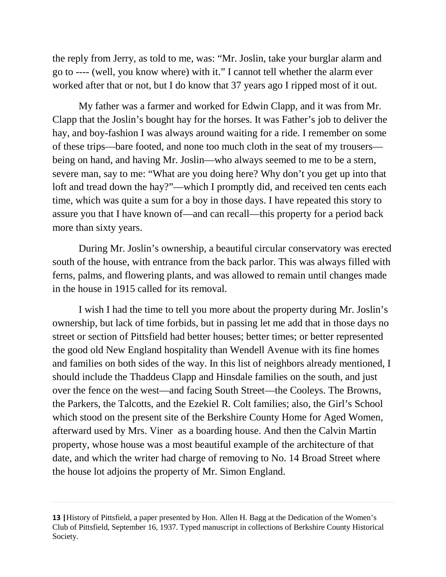the reply from Jerry, as told to me, was: "Mr. Joslin, take your burglar alarm and go to ---- (well, you know where) with it." I cannot tell whether the alarm ever worked after that or not, but I do know that 37 years ago I ripped most of it out.

My father was a farmer and worked for Edwin Clapp, and it was from Mr. Clapp that the Joslin's bought hay for the horses. It was Father's job to deliver the hay, and boy-fashion I was always around waiting for a ride. I remember on some of these trips—bare footed, and none too much cloth in the seat of my trousers being on hand, and having Mr. Joslin—who always seemed to me to be a stern, severe man, say to me: "What are you doing here? Why don't you get up into that loft and tread down the hay?"—which I promptly did, and received ten cents each time, which was quite a sum for a boy in those days. I have repeated this story to assure you that I have known of—and can recall—this property for a period back more than sixty years.

During Mr. Joslin's ownership, a beautiful circular conservatory was erected south of the house, with entrance from the back parlor. This was always filled with ferns, palms, and flowering plants, and was allowed to remain until changes made in the house in 1915 called for its removal.

I wish I had the time to tell you more about the property during Mr. Joslin's ownership, but lack of time forbids, but in passing let me add that in those days no street or section of Pittsfield had better houses; better times; or better represented the good old New England hospitality than Wendell Avenue with its fine homes and families on both sides of the way. In this list of neighbors already mentioned, I should include the Thaddeus Clapp and Hinsdale families on the south, and just over the fence on the west—and facing South Street—the Cooleys. The Browns, the Parkers, the Talcotts, and the Ezekiel R. Colt families; also, the Girl's School which stood on the present site of the Berkshire County Home for Aged Women, afterward used by Mrs. Viner as a boarding house. And then the Calvin Martin property, whose house was a most beautiful example of the architecture of that date, and which the writer had charge of removing to No. 14 Broad Street where the house lot adjoins the property of Mr. Simon England.

**<sup>13</sup> |**History of Pittsfield, a paper presented by Hon. Allen H. Bagg at the Dedication of the Women's Club of Pittsfield, September 16, 1937. Typed manuscript in collections of Berkshire County Historical Society.